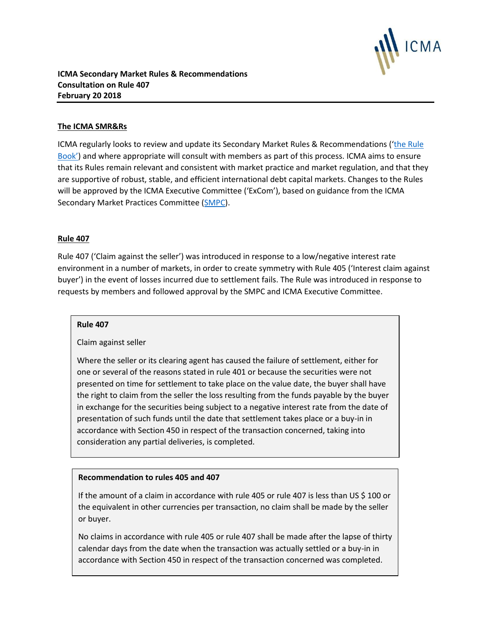

### **The ICMA SMR&Rs**

ICMA regularly looks to review and update its Secondary Market Rules & Recommendations ('the Rule [Book](https://www.icmagroup.org/Regulatory-Policy-and-Market-Practice/Secondary-Markets/ICMA-Rule-Book/)') and where appropriate will consult with members as part of this process. ICMA aims to ensure that its Rules remain relevant and consistent with market practice and market regulation, and that they are supportive of robust, stable, and efficient international debt capital markets. Changes to the Rules will be approved by the ICMA Executive Committee ('ExCom'), based on guidance from the ICMA Secondary Market Practices Committee [\(SMPC\)](https://www.icmagroup.org/Regulatory-Policy-and-Market-Practice/Secondary-Markets/secondary-market-practices-committee-smpc-and-related-working-groups/icma-smpc-and-terms-of-reference/).

#### **Rule 407**

Rule 407 ('Claim against the seller') was introduced in response to a low/negative interest rate environment in a number of markets, in order to create symmetry with Rule 405 ('Interest claim against buyer') in the event of losses incurred due to settlement fails. The Rule was introduced in response to requests by members and followed approval by the SMPC and ICMA Executive Committee.

#### **Rule 407**

Claim against seller

Where the seller or its clearing agent has caused the failure of settlement, either for one or several of the reasons stated in rule 401 or because the securities were not presented on time for settlement to take place on the value date, the buyer shall have the right to claim from the seller the loss resulting from the funds payable by the buyer in exchange for the securities being subject to a negative interest rate from the date of presentation of such funds until the date that settlement takes place or a buy-in in accordance with Section 450 in respect of the transaction concerned, taking into consideration any partial deliveries, is completed.

#### **Recommendation to rules 405 and 407**

If the amount of a claim in accordance with rule 405 or rule 407 is less than US \$ 100 or the equivalent in other currencies per transaction, no claim shall be made by the seller or buyer.

No claims in accordance with rule 405 or rule 407 shall be made after the lapse of thirty calendar days from the date when the transaction was actually settled or a buy-in in accordance with Section 450 in respect of the transaction concerned was completed.